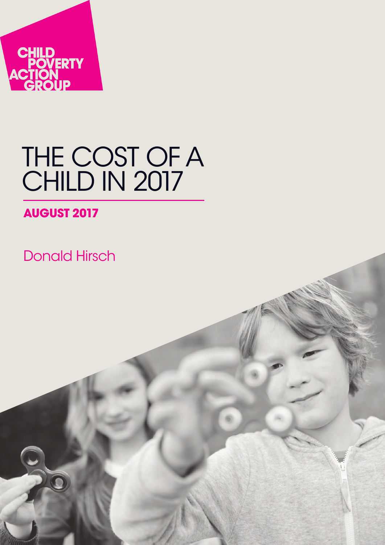

# THE COST OF A CHILD IN 2017

## **AUGUST 2017**

Donald Hirsch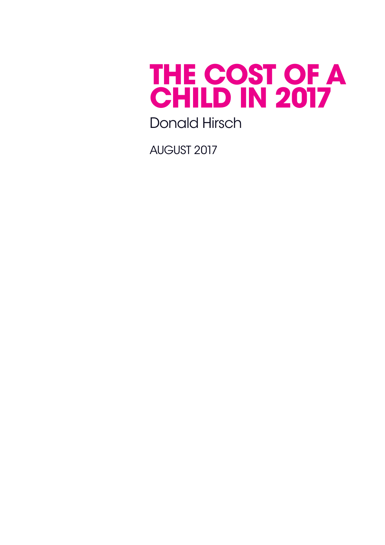

Donald Hirsch

august 2017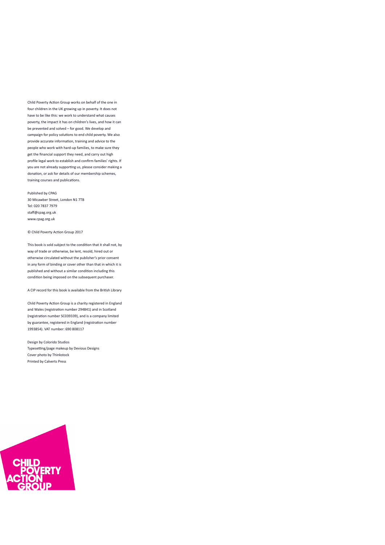Child Poverty Action Group works on behalf of the one in four children in the UK growing up in poverty. It does not have to be like this: we work to understand what causes poverty, the impact it has on children's lives, and how it can be prevented and solved – for good. We develop and campaign for policy solutions to end child poverty. We also provide accurate information, training and advice to the people who work with hard-up families, to make sure they get the financial support they need, and carry out high profile legal work to establish and confirm families' rights. If you are not already supporting us, please consider making a donation, or ask for details of our membership schemes, training courses and publications.

Published by CPAG 30 Micawber Street, London N1 7TB Tel: 020 7837 7979 staff@cpag.org.uk www.cpag.org.uk

© Child Poverty Action Group 2017

This book is sold subject to the condition that it shall not, by way of trade or otherwise, be lent, resold, hired out or otherwise circulated without the publisher's prior consent in any form of binding or cover other than that in which it is published and without a similar condition including this condition being imposed on the subsequent purchaser.

A CIP record for this book is available from the British Library

Child Poverty Action Group is a charity registered in England and Wales (registration number 294841) and in Scotland (registration number SC039339), and is a company limited by guarantee, registered in England (registration number 1993854). VAT number: 690 808117

Design by Colorido Studios Typesetting/page makeup by Devious Designs Cover photo by Thinkstock Printed by Calverts Press

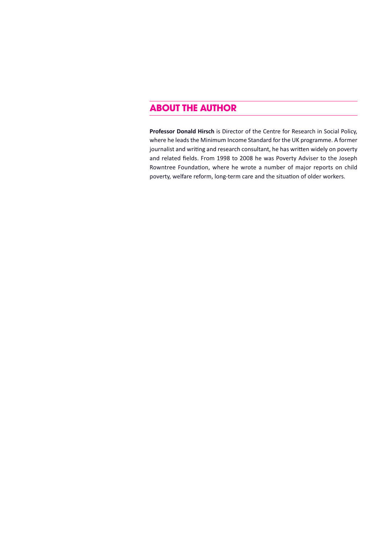## **about the author**

**Professor Donald Hirsch** is Director of the Centre for Research in Social Policy, where he leads the Minimum Income Standard for the UK programme. A former journalist and writing and research consultant, he has written widely on poverty and related fields. From 1998 to 2008 he was Poverty Adviser to the Joseph Rowntree Foundation, where he wrote a number of major reports on child poverty, welfare reform, long-term care and the situation of older workers.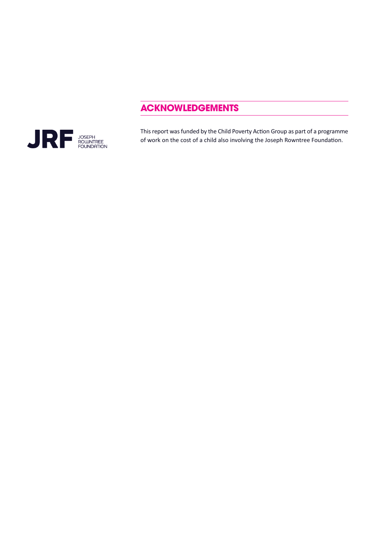## **acknowledgements**



This report was funded by the Child Poverty Action Group as part of a programme of work on the cost of a child also involving the Joseph Rowntree Foundation.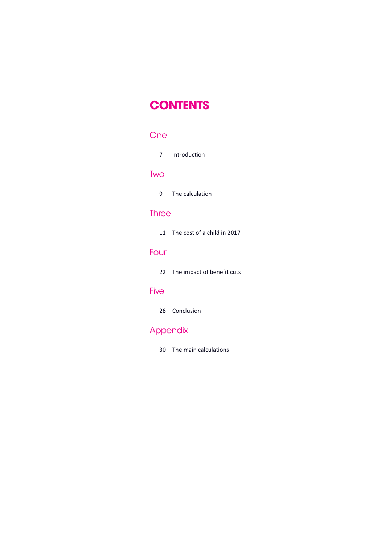## **contents**

### One

7 [Introduction](#page-6-0)

#### **Two**

9 The [calculation](#page-8-0)

### **Three**

11 The cost of a child in 2017

## [Four](#page-21-0)

22 The impact of benefit cuts

### Five

28 [Conclusion](#page-27-0)

## **Appendix**

30 The main calculations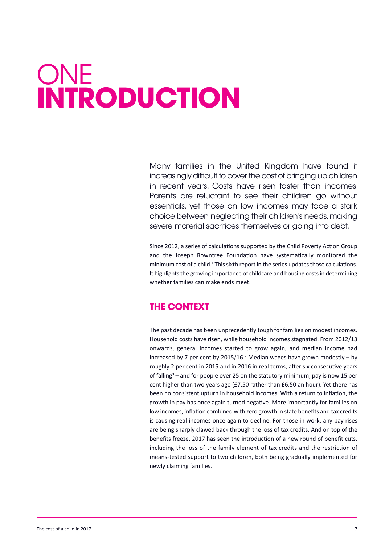# <span id="page-6-0"></span>ONE **introduction**

Many families in the united Kingdom have found it increasingly difficult to cover the cost of bringing up children in recent years. Costs have risen faster than incomes. Parents are reluctant to see their children go without essentials, yet those on low incomes may face a stark choice between neglecting their children's needs,making severe material sacrifices themselves or going into debt.

Since 2012, a series of calculations supported by the Child Poverty Action Group and the Joseph Rowntree Foundation have systematically monitored the minimum cost of a child.<sup>1</sup> This sixth report in the series updates those calculations. It highlights the growing importance of childcare and housing costs in determining whether families can make ends meet.

## **the context**

The past decade has been unprecedently tough for families on modest incomes. Household costs have risen, while household incomes stagnated. From 2012/13 onwards, general incomes started to grow again, and median income had increased by 7 per cent by 2015/16. <sup>2</sup> Median wages have grown modestly – by roughly 2 per cent in 2015 and in 2016 in real terms, after six consecutive years of falling<sup>3</sup> – and for people over 25 on the statutory minimum, pay is now 15 per cent higher than two years ago (£7.50 rather than £6.50 an hour). Yet there has been no consistent upturn in household incomes. With a return to inflation, the growth in pay has once again turned negative. More importantly for families on low incomes, inflation combined with zero growth in state benefits and tax credits is causing real incomes once again to decline. For those in work, any pay rises are being sharply clawed back through the loss of tax credits. And on top of the benefits freeze, 2017 has seen the introduction of a new round of benefit cuts, including the loss of the family element of tax credits and the restriction of means-tested support to two children, both being gradually implemented for newly claiming families.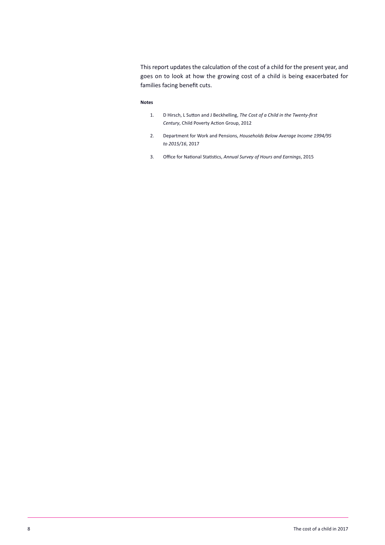This report updates the calculation of the cost of a child for the present year, and goes on to look at how the growing cost of a child is being exacerbated for families facing benefit cuts.

#### **Notes**

- 1. D Hirsch, L Sutton and J Beckhelling, *The Cost of a Child in the Twenty-first Century*, Child Poverty Action Group, 2012
- 2. Department for Work and Pensions, *Households Below Average Income 1994/95 to 2015/16*, 2017
- 3. Office for National Statistics, *Annual Survey of Hours and Earnings*, 2015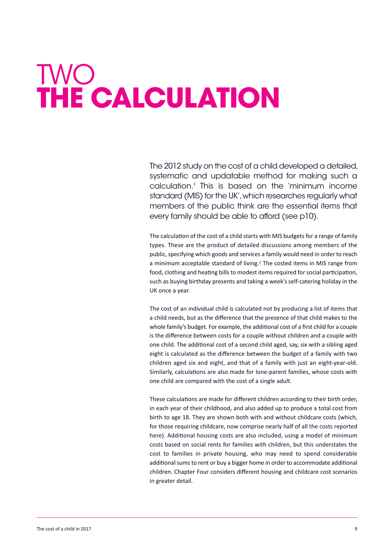# <span id="page-8-0"></span>twO **the calculation**

the 2012 study on the cost of a child developed a detailed, systematic and updatable method for making such a calculation. <sup>1</sup> this is based on the 'minimum income standard (MIS) for the UK', which researches regularly what members of the public think are the essential items that every family should be able to afford (see p10).

The calculation of the cost of a child starts with MIS budgets for a range of family types. These are the product of detailed discussions among members of the public, specifying which goods and services a family would need in order to reach a minimum acceptable standard of living. <sup>2</sup> The costed items in MIS range from food, clothing and heating bills to modest items required for social participation, such as buying birthday presents and taking a week's self-catering holiday in the UK once a year.

The cost of an individual child is calculated not by producing a list of items that a child needs, but as the difference that the presence of that child makes to the whole family's budget. For example, the additional cost of a first child for a couple is the difference between costs for a couple without children and a couple with one child. The additional cost of a second child aged, say, six with a sibling aged eight is calculated as the difference between the budget of a family with two children aged six and eight, and that of a family with just an eight-year-old. Similarly, calculations are also made for lone-parent families, whose costs with one child are compared with the cost of a single adult.

These calculations are made for different children according to their birth order, in each year of their childhood, and also added up to produce a total cost from birth to age 18. They are shown both with and without childcare costs (which, for those requiring childcare, now comprise nearly half of all the costs reported here). Additional housing costs are also included, using a model of minimum costs based on social rents for families with children, but this understates the cost to families in private housing, who may need to spend considerable additional sums to rent or buy a bigger home in order to accommodate additional children. Chapter Four considers different housing and childcare cost scenarios in greater detail.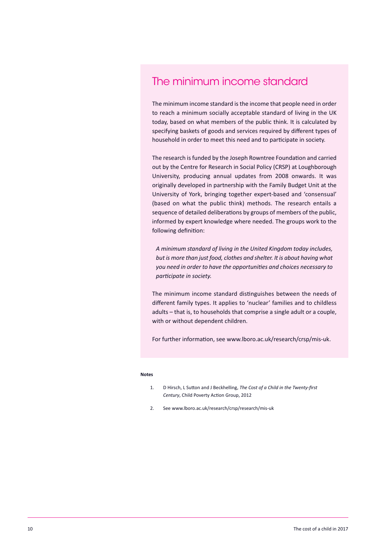## the minimum income standard

The minimum income standard is the income that people need in order to reach a minimum socially acceptable standard of living in the UK today, based on what members of the public think. It is calculated by specifying baskets of goods and services required by different types of household in order to meet this need and to participate in society.

The research is funded by the Joseph Rowntree Foundation and carried out by the Centre for Research in Social Policy (CRSP) at Loughborough University, producing annual updates from 2008 onwards. It was originally developed in partnership with the Family Budget Unit at the University of York, bringing together expert-based and 'consensual' (based on what the public think) methods. The research entails a sequence of detailed deliberations by groups of members of the public, informed by expert knowledge where needed. The groups work to the following definition:

*A minimum standard of living in the United Kingdom today includes, but is more than just food, clothes and shelter. It is about having what you need in order to have the opportunities and choices necessary to participate in society.*

The minimum income standard distinguishes between the needs of different family types. It applies to 'nuclear' families and to childless adults – that is, to households that comprise a single adult or a couple, with or without dependent children.

For further information, see www.lboro.ac.uk/research/crsp/mis-uk.

#### **Notes**

- 1. D Hirsch, L Sutton and J Beckhelling, *The Cost of a Child in the Twenty-first Century*, Child Poverty Action Group, 2012
- 2. See www.lboro.ac.uk/research/crsp/research/mis-uk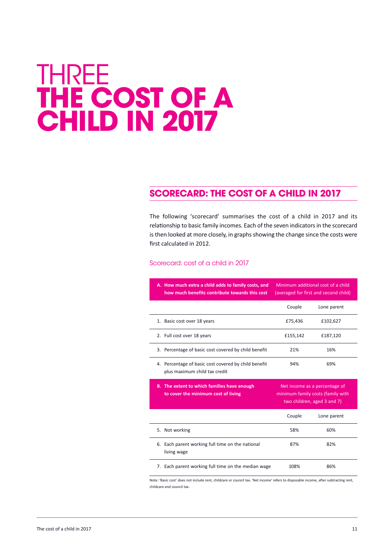## <span id="page-10-0"></span>**THREE the cost of a child in 2017**

## **scorecard: the cost of a child in 2017**

The following 'scorecard' summarises the cost of a child in 2017 and its relationship to basic family incomes. Each of the seven indicators in the scorecard is then looked at more closely, in graphs showing the change since the costs were first calculated in 2012.

#### scorecard: cost of a child in 2017

| A. How much extra a child adds to family costs, and<br>how much benefits contribute towards this cost | Minimum additional cost of a child<br>(averaged for first and second child)                       |             |  |  |
|-------------------------------------------------------------------------------------------------------|---------------------------------------------------------------------------------------------------|-------------|--|--|
|                                                                                                       | Couple                                                                                            | Lone parent |  |  |
| 1. Basic cost over 18 years                                                                           | £75,436                                                                                           | £102,627    |  |  |
| 2. Full cost over 18 years                                                                            | £155,142                                                                                          | £187,120    |  |  |
| 3. Percentage of basic cost covered by child benefit                                                  | 21%                                                                                               | 16%         |  |  |
| 4. Percentage of basic cost covered by child benefit<br>plus maximum child tax credit                 | 94%                                                                                               | 69%         |  |  |
|                                                                                                       |                                                                                                   |             |  |  |
| B. The extent to which families have enough<br>to cover the minimum cost of living                    | Net income as a percentage of<br>minimum family costs (family with<br>two children, aged 3 and 7) |             |  |  |
|                                                                                                       | Couple                                                                                            | Lone parent |  |  |
| 5. Not working                                                                                        | 58%                                                                                               | 60%         |  |  |
| 6. Each parent working full time on the national<br>living wage                                       | 87%                                                                                               | 82%         |  |  |

Note: 'Basic cost' does not include rent, childcare or council tax. 'Net income' refers to disposable income, after subtracting rent childcare and council tax.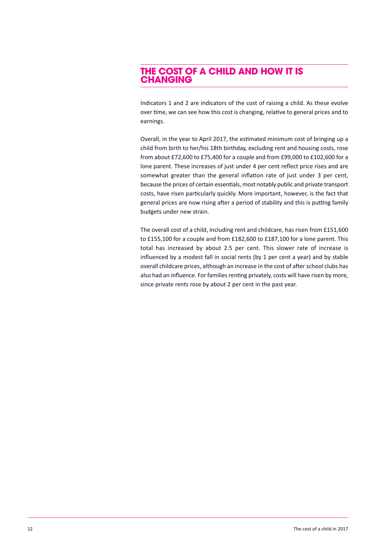### **the cost of a child and how it is changing**

Indicators 1 and 2 are indicators of the cost of raising a child. As these evolve over time, we can see how this cost is changing, relative to general prices and to earnings.

Overall, in the year to April 2017, the estimated minimum cost of bringing up a child from birth to her/his 18th birthday, excluding rent and housing costs, rose from about £72,600 to £75,400 for a couple and from £99,000 to £102,600 for a lone parent. These increases of just under 4 per cent reflect price rises and are somewhat greater than the general inflation rate of just under 3 per cent, because the prices of certain essentials, most notably public and private transport costs, have risen particularly quickly. More important, however, is the fact that general prices are now rising after a period of stability and this is putting family budgets under new strain.

The overall cost of a child, including rent and childcare, has risen from £151,600 to £155,100 for a couple and from £182,600 to £187,100 for a lone parent. This total has increased by about 2.5 per cent. This slower rate of increase is influenced by a modest fall in social rents (by 1 per cent a year) and by stable overall childcare prices, although an increase in the cost of after school clubs has also had an influence. For families renting privately, costs will have risen by more, since private rents rose by about 2 per cent in the past year.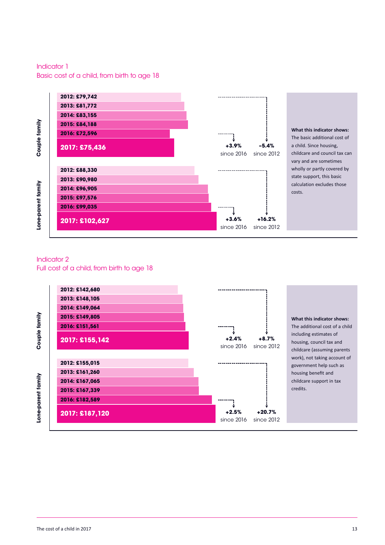Indicator 1 Basic cost of a child, from birth to age 18



**What this indicator shows:** The basic additional cost of a child. Since housing, childcare and council tax can vary and are sometimes wholly or partly covered by state support, this basic calculation excludes those costs.

### Indicator 2

Full cost of a child, from birth to age 18



**What this indicator shows:** The additional cost of a child including estimates of housing, council tax and childcare (assuming parents work), not taking account of government help such as housing benefit and childcare support in tax credits.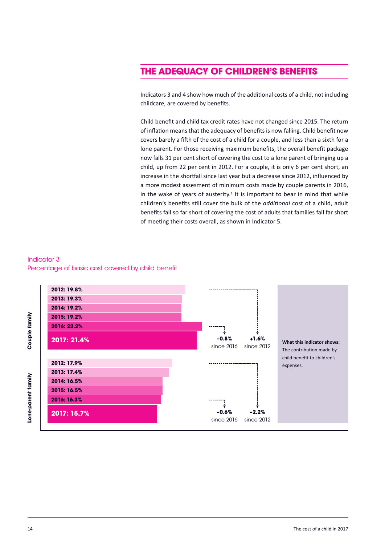## **the adequacy of children's benefits**

Indicators 3 and 4 show how much of the additional costs of a child, not including childcare, are covered by benefits.

Child benefit and child tax credit rates have not changed since 2015. The return of inflation means that the adequacy of benefits is now falling. Child benefit now covers barely a fifth of the cost of a child for a couple, and less than a sixth for a lone parent. For those receiving maximum benefits, the overall benefit package now falls 31 per cent short of covering the cost to a lone parent of bringing up a child, up from 22 per cent in 2012. For a couple, it is only 6 per cent short, an increase in the shortfall since last year but a decrease since 2012, influenced by a more modest assesment of minimum costs made by couple parents in 2016, in the wake of years of austerity.<sup>1</sup> It is important to bear in mind that while children's benefits still cover the bulk of the *additional* cost of a child, adult benefits fall so far short of covering the cost of adults that families fall far short of meeting their costs overall, as shown in Indicator 5.





**couple fa**

**lone-p arent fa**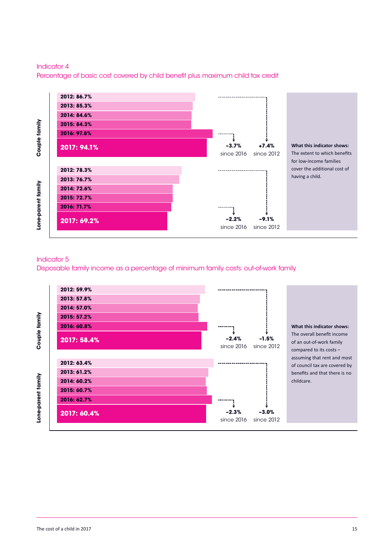

#### Indicator 4

Percentage of basic cost covered by child benefit plus maximum child tax credit

## The extent to which benefits for low-income families cover the additional cost of

#### Indicator 5

Disposable family income as a percentage of minimum family costs: out-of-work family

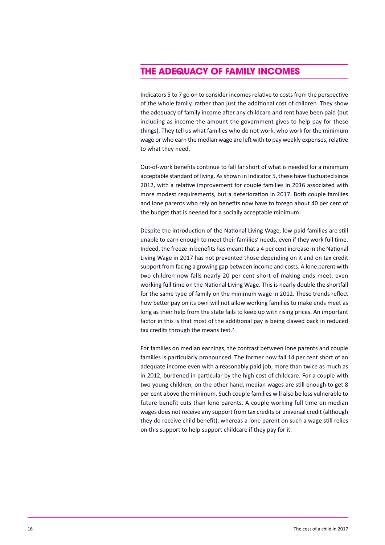## **the adequacy of family incomes**

Indicators 5 to 7 go on to consider incomes relative to costs from the perspective of the whole family, rather than just the additional cost of children. They show the adequacy of family income after any childcare and rent have been paid (but including as income the amount the government gives to help pay for these things). They tell us what families who do not work, who work for the minimum wage or who earn the median wage are left with to pay weekly expenses, relative to what they need.

Out-of-work benefits continue to fall far short of what is needed for a minimum acceptable standard of living. As shown in Indicator 5, these have fluctuated since 2012, with a relative improvement for couple families in 2016 associated with more modest requirements, but a deterioration in 2017. Both couple families and lone parents who rely on benefits now have to forego about 40 per cent of the budget that is needed for a socially acceptable minimum.

Despite the introduction of the National Living Wage, low-paid families are still unable to earn enough to meet their families' needs, even if they work full time. Indeed, the freeze in benefits has meant that a 4 per cent increase in the National Living Wage in 2017 has not prevented those depending on it and on tax credit support from facing a growing gap between income and costs. A lone parent with two children now falls nearly 20 per cent short of making ends meet, even working full time on the National Living Wage. This is nearly double the shortfall for the same type of family on the minimum wage in 2012. These trends reflect how better pay on its own will not allow working families to make ends meet as long as their help from the state fails to keep up with rising prices. An important factor in this is that most of the additional pay is being clawed back in reduced tax credits through the means test.<sup>2</sup>

For families on median earnings, the contrast between lone parents and couple families is particularly pronounced. The former now fall 14 per cent short of an adequate income even with a reasonably paid job, more than twice as much as in 2012, burdened in particular by the high cost of childcare. For a couple with two young children, on the other hand, median wages are still enough to get 8 per cent above the minimum. Such couple families will also be less vulnerable to future benefit cuts than lone parents. A couple working full time on median wages does not receive any support from tax credits or universal credit (although they do receive child benefit), whereas a lone parent on such a wage still relies on this support to help support childcare if they pay for it.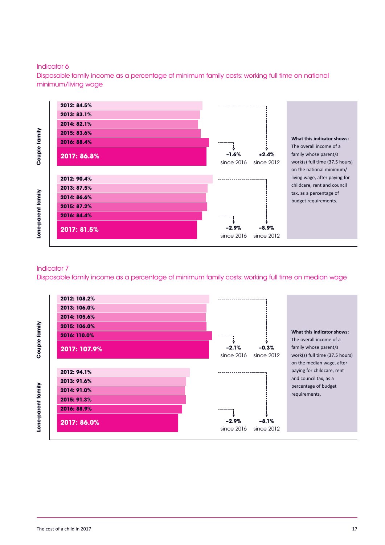#### Indicator 6

Disposable family income as a percentage of minimum family costs: working full time on national minimum/living wage



#### Indicator 7

Disposable family income as a percentage of minimum family costs: working full time on median wage



**mily couple fa**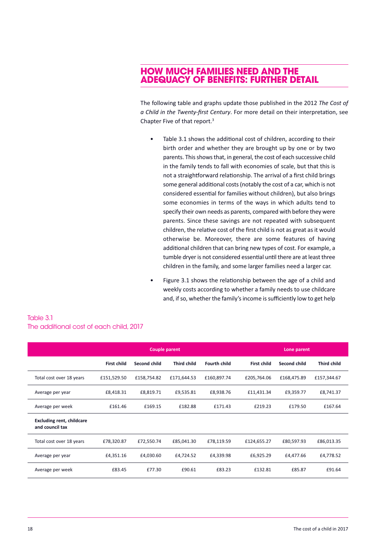### **how much families need and the adequacy of benefits: further detail**

The following table and graphs update those published in the 2012 *The Cost of a Child in the Twenty-first Century*. For more detail on their interpretation, see Chapter Five of that report. 3

- Table 3.1 shows the additional cost of children, according to their birth order and whether they are brought up by one or by two parents. This shows that, in general, the cost of each successive child in the family tends to fall with economies of scale, but that this is not a straightforward relationship. The arrival of a first child brings some general additional costs(notably the cost of a car, which is not considered essential for families without children), but also brings some economies in terms of the ways in which adults tend to specify their own needs as parents, compared with before they were parents. Since these savings are not repeated with subsequent children, the relative cost of the first child is not as great as it would otherwise be. Moreover, there are some features of having additional children that can bring new types of cost. For example, a tumble dryer is not considered essential until there are at least three children in the family, and some larger families need a larger car.
- Figure 3.1 shows the relationship between the age of a child and weekly costs according to whether a family needs to use childcare and, if so, whether the family's income is sufficiently low to get help

| Table 3.1                               |  |
|-----------------------------------------|--|
| The additional cost of each child, 2017 |  |

|                                                     | Couple parent      |                     |                    |                     | Lone parent        |              |                    |
|-----------------------------------------------------|--------------------|---------------------|--------------------|---------------------|--------------------|--------------|--------------------|
|                                                     | <b>First child</b> | <b>Second child</b> | <b>Third child</b> | <b>Fourth child</b> | <b>First child</b> | Second child | <b>Third child</b> |
| Total cost over 18 years                            | £151,529.50        | £158,754.82         | £171,644.53        | £160,897.74         | £205,764.06        | £168,475.89  | £157,344.67        |
| Average per year                                    | £8,418.31          | £8,819.71           | £9,535.81          | £8,938.76           | £11,431.34         | £9,359.77    | £8,741.37          |
| Average per week                                    | £161.46            | £169.15             | £182.88            | £171.43             | £219.23            | £179.50      | £167.64            |
| <b>Excluding rent, childcare</b><br>and council tax |                    |                     |                    |                     |                    |              |                    |
| Total cost over 18 years                            | £78,320.87         | £72,550.74          | £85,041.30         | £78,119.59          | £124,655.27        | £80,597.93   | £86,013.35         |
| Average per year                                    | £4,351.16          | £4,030.60           | £4,724.52          | £4,339.98           | £6,925.29          | £4,477.66    | £4,778.52          |
| Average per week                                    | £83.45             | £77.30              | £90.61             | £83.23              | £132.81            | £85.87       | £91.64             |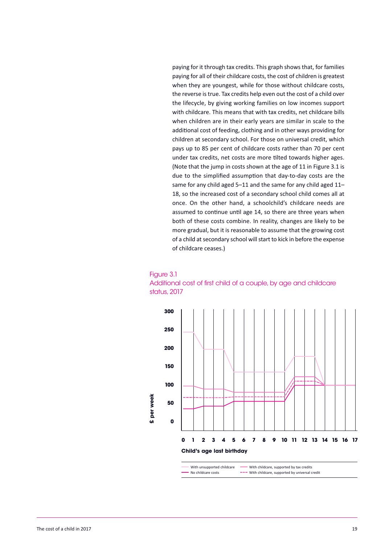paying for it through tax credits. This graph shows that, for families paying for all of their childcare costs, the cost of children is greatest when they are youngest, while for those without childcare costs, the reverse is true. Tax credits help even out the cost of a child over the lifecycle, by giving working families on low incomes support with childcare. This means that with tax credits, net childcare bills when children are in their early years are similar in scale to the additional cost of feeding, clothing and in other ways providing for children at secondary school. For those on universal credit, which pays up to 85 per cent of childcare costs rather than 70 per cent under tax credits, net costs are more tilted towards higher ages. (Note that the jump in costs shown at the age of 11 in Figure 3.1 is due to the simplified assumption that day-to-day costs are the same for any child aged 5–11 and the same for any child aged 11– 18, so the increased cost of a secondary school child comes all at once. On the other hand, a schoolchild's childcare needs are assumed to continue until age 14, so there are three years when both of these costs combine. In reality, changes are likely to be more gradual, but it is reasonable to assume that the growing cost of a child at secondary school will start to kick in before the expense of childcare ceases.)





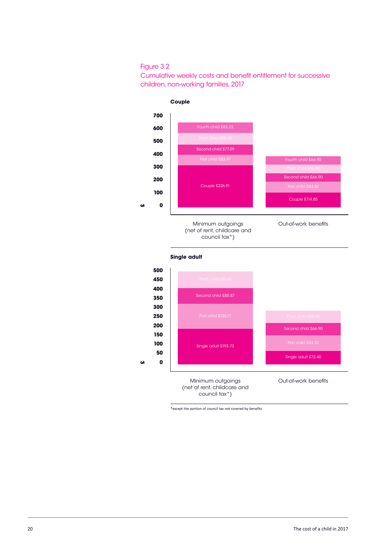#### Figure 3.2

Cumulative weekly costs and benefit entitlement for successive children, non-working families, 2017



**single adult**



\*except the portion of council tax not covered by benefits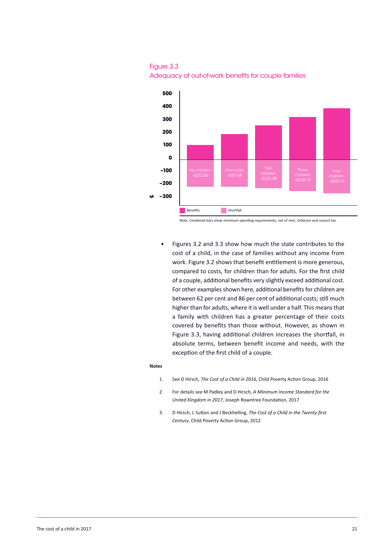



Note: Combined bars show minimum spending requirements, net of rent, childcare and council tax.

• Figures 3.2 and 3.3 show how much the state contributes to the cost of a child, in the case of families without any income from work. Figure 3.2 shows that benefit entitlement is more generous, compared to costs, for children than for adults. For the first child of a couple, additional benefits very slightly exceed additional cost. For other examples shown here, additional benefits for children are between 62 per cent and 86 per cent of additional costs; still much higher than for adults, where it is well under a half. This means that a family with children has a greater percentage of their costs covered by benefits than those without. However, as shown in Figure 3.3, having additional children increases the shortfall, in absolute terms, between benefit income and needs, with the exception of the first child of a couple.

#### **Notes**

- 1. See D Hirsch, *The Cost of a Child in 2016*, Child Poverty Action Group, 2016
- 2. For details see M Padley and D Hirsch, *A Minimum Income Standard for the United Kingdom in 2017*, Joseph Rowntree Foundation, 2017
- 3. D Hirsch, L Sutton and J Beckhelling, *The Cost of a Child in the Twenty-first Century*, Child Poverty Action Group, 2012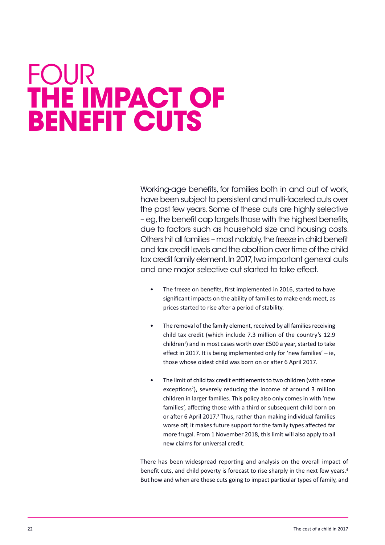## <span id="page-21-0"></span>**FOUR the impact of benefit cuts**

working-age benefits, for families both in and out of work, have been subject to persistent and multi-faceted cuts over the past few years. some of these cuts are highly selective – eg,the benefit cap targets those with the highest benefits, due to factors such as household size and housing costs. Others hit all families – most notably, the freeze in child benefit and tax credit levels and the abolition over time of the child tax credit family element. In 2017, two important general cuts and one major selective cut started to take effect.

- The freeze on benefits, first implemented in 2016, started to have significant impacts on the ability of families to make ends meet, as prices started to rise after a period of stability.
- The removal of the family element, received by all families receiving child tax credit (which include 7.3 million of the country's 12.9 children<sup>1</sup>) and in most cases worth over  $£500$  a year, started to take effect in 2017. It is being implemented only for 'new families' – ie, those whose oldest child was born on or after 6 April 2017.
- The limit of child tax credit entitlements to two children (with some exceptions<sup>2</sup>), severely reducing the income of around 3 million children in larger families. This policy also only comes in with 'new families', affecting those with a third or subsequent child born on or after 6 April 2017.<sup>3</sup> Thus, rather than making individual families worse off, it makes future support for the family types affected far more frugal. From 1 November 2018, this limit will also apply to all new claims for universal credit.

There has been widespread reporting and analysis on the overall impact of benefit cuts, and child poverty is forecast to rise sharply in the next few years.<sup>4</sup> But how and when are these cuts going to impact particular types of family, and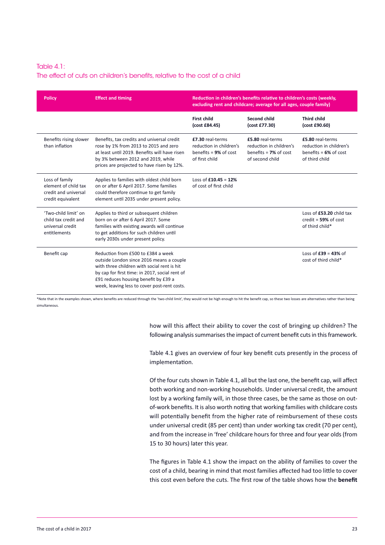#### Table 4.1: The effect of cuts on children's benefits, relative to the cost of a child

| <b>Policy</b>                                                                       | <b>Effect and timing</b>                                                                                                                                                                                                                                                | Reduction in children's benefits relative to children's costs (weekly,<br>excluding rent and childcare; average for all ages, couple family) |                                                                                            |                                                                                           |  |
|-------------------------------------------------------------------------------------|-------------------------------------------------------------------------------------------------------------------------------------------------------------------------------------------------------------------------------------------------------------------------|----------------------------------------------------------------------------------------------------------------------------------------------|--------------------------------------------------------------------------------------------|-------------------------------------------------------------------------------------------|--|
|                                                                                     |                                                                                                                                                                                                                                                                         | <b>First child</b><br>(cost £84.45)                                                                                                          | Second child<br>(cost £77.30)                                                              | <b>Third child</b><br>(cost £90.60)                                                       |  |
| Benefits rising slower<br>than inflation                                            | Benefits, tax credits and universal credit<br>rose by 1% from 2013 to 2015 and zero<br>at least until 2019. Benefits will have risen<br>by 3% between 2012 and 2019, while<br>prices are projected to have risen by 12%.                                                | £7.30 real-terms<br>reduction in children's<br>benefits = $9\%$ of cost<br>of first child                                                    | £5.80 real-terms<br>reduction in children's<br>benefits = $7\%$ of cost<br>of second child | £5.80 real-terms<br>reduction in children's<br>benefits = $6\%$ of cost<br>of third child |  |
| Loss of family<br>element of child tax<br>credit and universal<br>credit equivalent | Applies to families with oldest child born<br>on or after 6 April 2017. Some families<br>could therefore continue to get family<br>element until 2035 under present policy.                                                                                             | Loss of $£10.45 = 12%$<br>of cost of first child                                                                                             |                                                                                            |                                                                                           |  |
| 'Two-child limit' on<br>child tax credit and<br>universal credit<br>entitlements    | Applies to third or subsequent children<br>born on or after 6 April 2017. Some<br>families with existing awards will continue<br>to get additions for such children until<br>early 2030s under present policy.                                                          |                                                                                                                                              |                                                                                            | Loss of £53.20 child tax<br>$credit = 59\%$ of cost<br>of third child*                    |  |
| Benefit cap                                                                         | Reduction from £500 to £384 a week<br>outside London since 2016 means a couple<br>with three children with social rent is hit<br>by cap for first time: in 2017, social rent of<br>£91 reduces housing benefit by £39 a<br>week, leaving less to cover post-rent costs. |                                                                                                                                              |                                                                                            | Loss of $£39 = 43\%$ of<br>cost of third child*                                           |  |

\*Note that in the examples shown, where benefits are reduced through the 'two-child limit', they would not be high enough to hit the benefit cap, so these two losses are alternatives rather than being simultaneous.

> how will this affect their ability to cover the cost of bringing up children? The following analysis summarises the impact of current benefit cuts in this framework.

> Table 4.1 gives an overview of four key benefit cuts presently in the process of implementation.

> Of the four cuts shown in Table 4.1, all but the last one, the benefit cap, will affect both working and non-working households. Under universal credit, the amount lost by a working family will, in those three cases, be the same as those on outof-work benefits. It is also worth noting that working families with childcare costs will potentially benefit from the higher rate of reimbursement of these costs under universal credit (85 per cent) than under working tax credit (70 per cent), and from the increase in 'free' childcare hours for three and four year olds (from 15 to 30 hours) later this year.

> The figures in Table 4.1 show the impact on the ability of families to cover the cost of a child, bearing in mind that most families affected had too little to cover this cost even before the cuts. The first row of the table shows how the **benefit**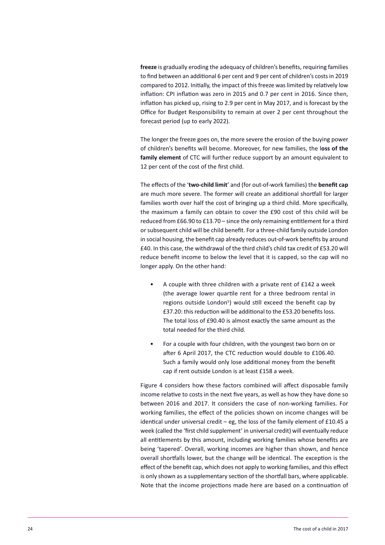**freeze** is gradually eroding the adequacy of children's benefits, requiring families to find between an additional 6 per cent and 9 per cent of children's costsin 2019 compared to 2012. Initially, the impact of this freeze was limited by relatively low inflation: CPI inflation was zero in 2015 and 0.7 per cent in 2016. Since then, inflation has picked up, rising to 2.9 per cent in May 2017, and is forecast by the Office for Budget Responsibility to remain at over 2 per cent throughout the forecast period (up to early 2022).

The longer the freeze goes on, the more severe the erosion of the buying power of children's benefits will become. Moreover, for new families, the l**oss of the family element** of CTC will further reduce support by an amount equivalent to 12 per cent of the cost of the first child.

The effects of the '**two-child limit**' and (for out-of-work families) the **benefit cap** are much more severe. The former will create an additional shortfall for larger families worth over half the cost of bringing up a third child. More specifically, the maximum a family can obtain to cover the £90 cost of this child will be reduced from £66.90 to £13.70 – since the only remaining entitlement for a third orsubsequent child will be child benefit. For a three-child family outside London in social housing, the benefit cap already reduces out-of-work benefits by around £40. In this case, the withdrawal of the third child's child tax credit of £53.20 will reduce benefit income to below the level that it is capped, so the cap will no longer apply. On the other hand:

- A couple with three children with a private rent of £142 a week (the average lower quartile rent for a three bedroom rental in regions outside London<sup>5</sup>) would still exceed the benefit cap by £37.20: this reduction will be additional to the £53.20 benefits loss. The total loss of £90.40 is almost exactly the same amount as the total needed for the third child.
- For a couple with four children, with the youngest two born on or after 6 April 2017, the CTC reduction would double to £106.40. Such a family would only lose additional money from the benefit cap if rent outside London is at least £158 a week.

Figure 4 considers how these factors combined will affect disposable family income relative to costs in the next five years, as well as how they have done so between 2016 and 2017. It considers the case of non-working families. For working families, the effect of the policies shown on income changes will be identical under universal credit – eg, the loss of the family element of £10.45 a week (called the 'first child supplement' in universal credit) will eventually reduce all entitlements by this amount, including working families whose benefits are being 'tapered'. Overall, working incomes are higher than shown, and hence overall shortfalls lower, but the change will be identical. The exception is the effect of the benefit cap, which does not apply to working families, and this effect is only shown as a supplementary section of the shortfall bars, where applicable. Note that the income projections made here are based on a continuation of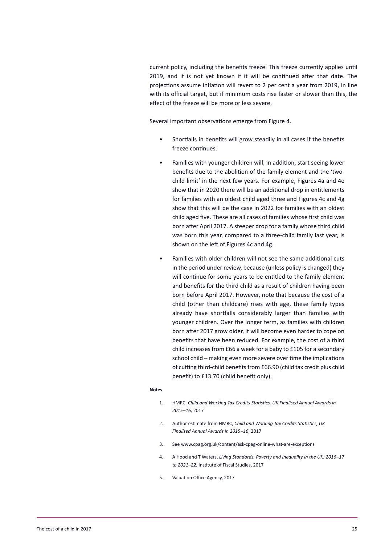current policy, including the benefits freeze. This freeze currently applies until 2019, and it is not yet known if it will be continued after that date. The projections assume inflation will revert to 2 per cent a year from 2019, in line with its official target, but if minimum costs rise faster or slower than this, the effect of the freeze will be more or less severe.

Several important observations emerge from Figure 4.

- Shortfalls in benefits will grow steadily in all cases if the benefits freeze continues.
- Families with younger children will, in addition, start seeing lower benefits due to the abolition of the family element and the 'twochild limit' in the next few years. For example, Figures 4a and 4e show that in 2020 there will be an additional drop in entitlements for families with an oldest child aged three and Figures 4c and 4g show that this will be the case in 2022 for families with an oldest child aged five. These are all cases of families whose first child was born after April 2017. A steeper drop for a family whose third child was born this year, compared to a three-child family last year, is shown on the left of Figures 4c and 4g.
- Families with older children will not see the same additional cuts in the period under review, because (unless policy is changed) they will continue for some years to be entitled to the family element and benefits for the third child as a result of children having been born before April 2017. However, note that because the cost of a child (other than childcare) rises with age, these family types already have shortfalls considerably larger than families with younger children. Over the longer term, as families with children born after 2017 grow older, it will become even harder to cope on benefits that have been reduced. For example, the cost of a third child increases from £66 a week for a baby to £105 for a secondary school child – making even more severe over time the implications of cutting third-child benefits from £66.90 (child tax credit plus child benefit) to £13.70 (child benefit only).

#### **Notes**

- 1. HMRC, *Child and Working Tax Credits Statistics, UK Finalised Annual Awards in 2015–16*, 2017
- 2. Author estimate from HMRC, *Child and Working Tax Credits Statistics, UK Finalised Annual Awards in 2015–16*, 2017
- 3. See www.cpag.org.uk/content/ask-cpag-online-what-are-exceptions
- 4. A Hood and T Waters, *Living Standards, Poverty and Inequality in the UK: 2016–17 to 2021–22*, Institute of Fiscal Studies, 2017
- 5. Valuation Office Agency, 2017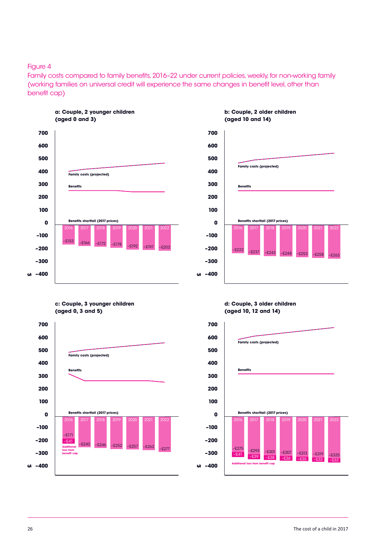#### Figure 4

Family costs compared to family benefits, 2016-22 under current policies, weekly, for non-working family (working families on universal credit will experience the same changes in benefit level, other than benefit cap)



**a: couple, 2 younger children (aged 0 and 3)**



#### **b: couple, 2 older children (aged 10 and 14)**

**c: couple, 3 younger children (aged 0, 3 and 5)**



**d: couple, 3 older children (aged 10, 12 and 14)**

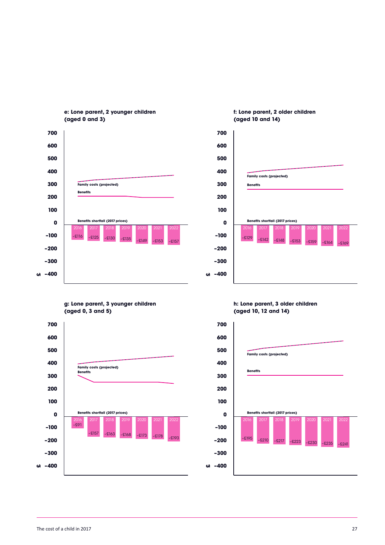

**e: lone parent, 2 younger children (aged 0 and 3)**



**f: lone parent, 2 older children (aged 10 and 14)**

**g: lone parent, 3 younger children (aged 0, 3 and 5)**



**h: lone parent, 3 older children (aged 10, 12 and 14)**

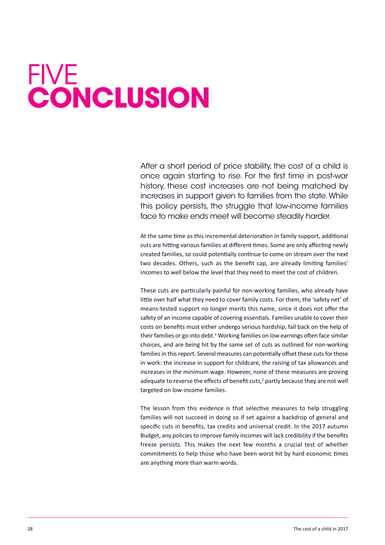# <span id="page-27-0"></span>**FIVE conclusion**

After a short period of price stability, the cost of a child is once again starting to rise. For the first time in post-war history, these cost increases are not being matched by increases in support given to families from the state. While this policy persists, the struggle that low-income families face to make ends meet will become steadily harder.

At the same time as this incremental deterioration in family support, additional cuts are hitting various families at different times. Some are only affecting newly created families, so could potentially continue to come on stream over the next two decades. Others, such as the benefit cap, are already limiting families' incomes to well below the level that they need to meet the cost of children.

These cuts are particularly painful for non-working families, who already have little over half what they need to cover family costs. For them, the 'safety net' of means-tested support no longer merits this name, since it does not offer the safety of an income capable of covering essentials. Families unable to cover their costs on benefits must either undergo serious hardship, fall back on the help of their families or go into debt.<sup>1</sup> Working families on low earnings often face similar choices, and are being hit by the same set of cuts as outlined for non-working families in this report. Several measures can potentially offset these cuts for those in work: the increase in support for childcare, the raising of tax allowances and increases in the minimum wage. However, none of these measures are proving adequate to reverse the effects of benefit cuts,<sup>2</sup> partly because they are not well targeted on low-income families.

The lesson from this evidence is that selective measures to help struggling families will not succeed in doing so if set against a backdrop of general and specific cuts in benefits, tax credits and universal credit. In the 2017 autumn Budget, any policies to improve family incomes will lack credibility if the benefits freeze persists. This makes the next few months a crucial test of whether commitments to help those who have been worst hit by hard economic times are anything more than warm words.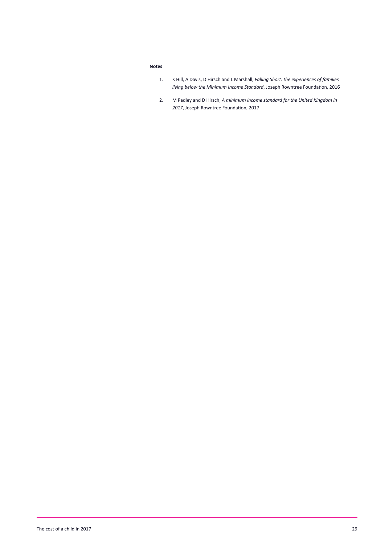#### **Notes**

- 1. K Hill, A Davis, D Hirsch and L Marshall, *Falling Short: the experiences of families living below the Minimum Income Standard*, Joseph Rowntree Foundation, 2016
- 2. M Padley and D Hirsch, *A minimum income standard for the United Kingdom in 2017*, Joseph Rowntree Foundation, 2017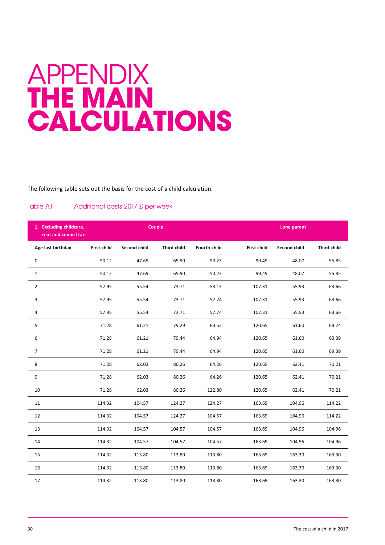## <span id="page-29-0"></span>**APPENDIX the main calculations**

The following table sets out the basis for the cost of a child calculation.

#### Table A1 Additional costs 2017, £ per week

| 1. Excluding childcare,<br>rent and council tax | Couple             |              |                    |                     | Lone parent        |              |                    |
|-------------------------------------------------|--------------------|--------------|--------------------|---------------------|--------------------|--------------|--------------------|
| Age last birthday                               | <b>First child</b> | Second child | <b>Third child</b> | <b>Fourth child</b> | <b>First child</b> | Second child | <b>Third child</b> |
| $\mathbf 0$                                     | 50.12              | 47.69        | 65.90              | 50.23               | 99.49              | 48.07        | 55.85              |
| $\mathbf{1}$                                    | 50.12              | 47.69        | 65.90              | 50.23               | 99.49              | 48.07        | 55.85              |
| $\overline{2}$                                  | 57.95              | 55.54        | 73.71              | 58.13               | 107.31             | 55.93        | 63.66              |
| 3                                               | 57.95              | 55.54        | 73.71              | 57.74               | 107.31             | 55.93        | 63.66              |
| 4                                               | 57.95              | 55.54        | 73.71              | 57.74               | 107.31             | 55.93        | 63.66              |
| 5                                               | 71.28              | 61.21        | 79.29              | 63.52               | 120.65             | 61.60        | 69.24              |
| 6                                               | 71.28              | 61.21        | 79.44              | 64.94               | 120.65             | 61.60        | 69.39              |
| $\overline{7}$                                  | 71.28              | 61.21        | 79.44              | 64.94               | 120.65             | 61.60        | 69.39              |
| 8                                               | 71.28              | 62.03        | 80.26              | 64.26               | 120.65             | 62.41        | 70.21              |
| 9                                               | 71.28              | 62.03        | 80.26              | 64.26               | 120.65             | 62.41        | 70.21              |
| 10                                              | 71.28              | 62.03        | 80.26              | 122.80              | 120.65             | 62.41        | 70.21              |
| 11                                              | 114.32             | 104.57       | 124.27             | 124.27              | 163.69             | 104.96       | 114.22             |
| 12                                              | 114.32             | 104.57       | 124.27             | 104.57              | 163.69             | 104.96       | 114.22             |
| 13                                              | 114.32             | 104.57       | 104.57             | 104.57              | 163.69             | 104.96       | 104.96             |
| 14                                              | 114.32             | 104.57       | 104.57             | 104.57              | 163.69             | 104.96       | 104.96             |
| 15                                              | 114.32             | 113.80       | 113.80             | 113.80              | 163.69             | 163.30       | 163.30             |
| 16                                              | 114.32             | 113.80       | 113.80             | 113.80              | 163.69             | 163.30       | 163.30             |
| 17                                              | 114.32             | 113.80       | 113.80             | 113.80              | 163.69             | 163.30       | 163.30             |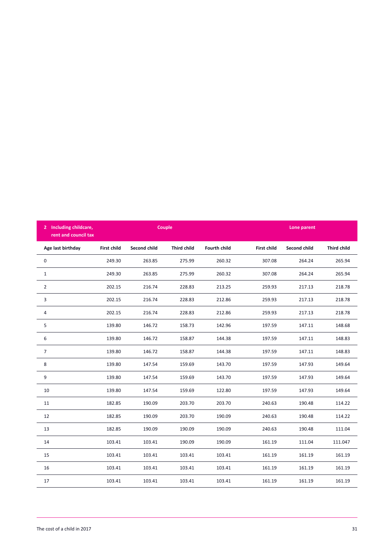| 2 Including childcare, | Couple             |                     |                    |                     | rent and council tax |                     |                    |  | Lone parent |  |
|------------------------|--------------------|---------------------|--------------------|---------------------|----------------------|---------------------|--------------------|--|-------------|--|
| Age last birthday      | <b>First child</b> | <b>Second child</b> | <b>Third child</b> | <b>Fourth child</b> | <b>First child</b>   | <b>Second child</b> | <b>Third child</b> |  |             |  |
| 0                      | 249.30             | 263.85              | 275.99             | 260.32              | 307.08               | 264.24              | 265.94             |  |             |  |
| $\mathbf{1}$           | 249.30             | 263.85              | 275.99             | 260.32              | 307.08               | 264.24              | 265.94             |  |             |  |
| $\overline{2}$         | 202.15             | 216.74              | 228.83             | 213.25              | 259.93               | 217.13              | 218.78             |  |             |  |
| 3                      | 202.15             | 216.74              | 228.83             | 212.86              | 259.93               | 217.13              | 218.78             |  |             |  |
| 4                      | 202.15             | 216.74              | 228.83             | 212.86              | 259.93               | 217.13              | 218.78             |  |             |  |
| 5                      | 139.80             | 146.72              | 158.73             | 142.96              | 197.59               | 147.11              | 148.68             |  |             |  |
| 6                      | 139.80             | 146.72              | 158.87             | 144.38              | 197.59               | 147.11              | 148.83             |  |             |  |
| $\overline{7}$         | 139.80             | 146.72              | 158.87             | 144.38              | 197.59               | 147.11              | 148.83             |  |             |  |
| 8                      | 139.80             | 147.54              | 159.69             | 143.70              | 197.59               | 147.93              | 149.64             |  |             |  |
| 9                      | 139.80             | 147.54              | 159.69             | 143.70              | 197.59               | 147.93              | 149.64             |  |             |  |
| 10                     | 139.80             | 147.54              | 159.69             | 122.80              | 197.59               | 147.93              | 149.64             |  |             |  |
| 11                     | 182.85             | 190.09              | 203.70             | 203.70              | 240.63               | 190.48              | 114.22             |  |             |  |
| 12                     | 182.85             | 190.09              | 203.70             | 190.09              | 240.63               | 190.48              | 114.22             |  |             |  |
| 13                     | 182.85             | 190.09              | 190.09             | 190.09              | 240.63               | 190.48              | 111.04             |  |             |  |
| 14                     | 103.41             | 103.41              | 190.09             | 190.09              | 161.19               | 111.04              | 111.047            |  |             |  |
| 15                     | 103.41             | 103.41              | 103.41             | 103.41              | 161.19               | 161.19              | 161.19             |  |             |  |
| 16                     | 103.41             | 103.41              | 103.41             | 103.41              | 161.19               | 161.19              | 161.19             |  |             |  |
| 17                     | 103.41             | 103.41              | 103.41             | 103.41              | 161.19               | 161.19              | 161.19             |  |             |  |